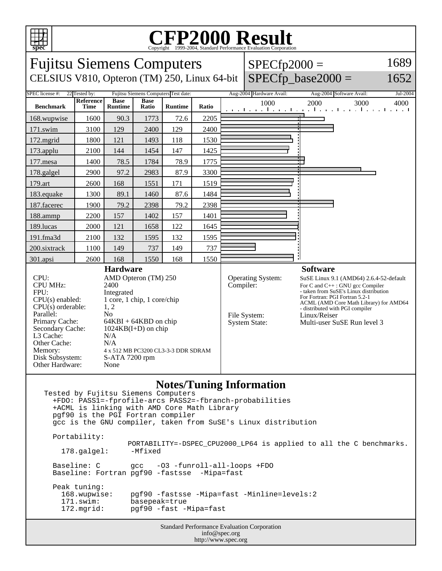

## Copyright ©1999-2004, Standard Performance Evaluation Corporation

| spec                                                                                                                                                                                                                                                                                                                                                                                                                                                                                                                                                                                                                                                             |                          |                               |                      |                |       |           | Copyright ©1999-2004, Standard Performance Evaluation Corporation |                                                                                                                                                                                                                                                                                                       |      |
|------------------------------------------------------------------------------------------------------------------------------------------------------------------------------------------------------------------------------------------------------------------------------------------------------------------------------------------------------------------------------------------------------------------------------------------------------------------------------------------------------------------------------------------------------------------------------------------------------------------------------------------------------------------|--------------------------|-------------------------------|----------------------|----------------|-------|-----------|-------------------------------------------------------------------|-------------------------------------------------------------------------------------------------------------------------------------------------------------------------------------------------------------------------------------------------------------------------------------------------------|------|
| 1689<br><b>Fujitsu Siemens Computers</b><br>$SPECfp2000 =$                                                                                                                                                                                                                                                                                                                                                                                                                                                                                                                                                                                                       |                          |                               |                      |                |       |           |                                                                   |                                                                                                                                                                                                                                                                                                       |      |
| $SPECfp\_base2000 =$<br>CELSIUS V810, Opteron (TM) 250, Linux 64-bit<br>1652                                                                                                                                                                                                                                                                                                                                                                                                                                                                                                                                                                                     |                          |                               |                      |                |       |           |                                                                   |                                                                                                                                                                                                                                                                                                       |      |
| SPEC license #:<br>Aug-2004 Hardware Avail:<br>22 Tested by:<br>Fujitsu Siemens Computers Test date:<br>Aug-2004 Software Avail:<br>Jul-2004                                                                                                                                                                                                                                                                                                                                                                                                                                                                                                                     |                          |                               |                      |                |       |           |                                                                   |                                                                                                                                                                                                                                                                                                       |      |
| <b>Benchmark</b>                                                                                                                                                                                                                                                                                                                                                                                                                                                                                                                                                                                                                                                 | Reference<br><b>Time</b> | <b>Base</b><br><b>Runtime</b> | <b>Base</b><br>Ratio | <b>Runtime</b> | Ratio |           | 1000                                                              | 2000<br>3000<br>and the continued of the continued of the continued to                                                                                                                                                                                                                                | 4000 |
| 168.wupwise                                                                                                                                                                                                                                                                                                                                                                                                                                                                                                                                                                                                                                                      | 1600                     | 90.3                          | 1773                 | 72.6           | 2205  |           |                                                                   |                                                                                                                                                                                                                                                                                                       |      |
| 171.swim                                                                                                                                                                                                                                                                                                                                                                                                                                                                                                                                                                                                                                                         | 3100                     | 129                           | 2400                 | 129            | 2400  |           |                                                                   |                                                                                                                                                                                                                                                                                                       |      |
| 172.mgrid                                                                                                                                                                                                                                                                                                                                                                                                                                                                                                                                                                                                                                                        | 1800                     | 121                           | 1493                 | 118            | 1530  |           |                                                                   |                                                                                                                                                                                                                                                                                                       |      |
| 173.applu                                                                                                                                                                                                                                                                                                                                                                                                                                                                                                                                                                                                                                                        | 2100                     | 144                           | 1454                 | 147            | 1425  |           |                                                                   |                                                                                                                                                                                                                                                                                                       |      |
| 177.mesa                                                                                                                                                                                                                                                                                                                                                                                                                                                                                                                                                                                                                                                         | 1400                     | 78.5                          | 1784                 | 78.9           | 1775  |           |                                                                   |                                                                                                                                                                                                                                                                                                       |      |
| 178.galgel                                                                                                                                                                                                                                                                                                                                                                                                                                                                                                                                                                                                                                                       | 2900                     | 97.2                          | 2983                 | 87.9           | 3300  |           |                                                                   |                                                                                                                                                                                                                                                                                                       |      |
| 179.art                                                                                                                                                                                                                                                                                                                                                                                                                                                                                                                                                                                                                                                          | 2600                     | 168                           | 1551                 | 171            | 1519  |           |                                                                   |                                                                                                                                                                                                                                                                                                       |      |
| 183.equake                                                                                                                                                                                                                                                                                                                                                                                                                                                                                                                                                                                                                                                       | 1300                     | 89.1                          | 1460                 | 87.6           | 1484  |           |                                                                   |                                                                                                                                                                                                                                                                                                       |      |
| 187.facerec                                                                                                                                                                                                                                                                                                                                                                                                                                                                                                                                                                                                                                                      | 1900                     | 79.2                          | 2398                 | 79.2           | 2398  |           |                                                                   |                                                                                                                                                                                                                                                                                                       |      |
| 188.ammp                                                                                                                                                                                                                                                                                                                                                                                                                                                                                                                                                                                                                                                         | 2200                     | 157                           | 1402                 | 157            | 1401  |           |                                                                   |                                                                                                                                                                                                                                                                                                       |      |
| 189.lucas                                                                                                                                                                                                                                                                                                                                                                                                                                                                                                                                                                                                                                                        | 2000                     | 121                           | 1658                 | 122            | 1645  |           |                                                                   |                                                                                                                                                                                                                                                                                                       |      |
| 191.fma3d                                                                                                                                                                                                                                                                                                                                                                                                                                                                                                                                                                                                                                                        | 2100                     | 132                           | 1595                 | 132            | 1595  |           |                                                                   |                                                                                                                                                                                                                                                                                                       |      |
| 200.sixtrack                                                                                                                                                                                                                                                                                                                                                                                                                                                                                                                                                                                                                                                     | 1100                     | 149                           | 737                  | 149            | 737   |           |                                                                   |                                                                                                                                                                                                                                                                                                       |      |
| 301.apsi                                                                                                                                                                                                                                                                                                                                                                                                                                                                                                                                                                                                                                                         | 2600                     | 168                           | 1550                 | 168            | 1550  |           |                                                                   |                                                                                                                                                                                                                                                                                                       |      |
| <b>Hardware</b><br>CPU:<br>AMD Opteron (TM) 250<br><b>CPU MHz:</b><br>2400<br>FPU:<br>Integrated<br>1 core, 1 chip, 1 core/chip<br>$CPU(s)$ enabled:<br>1, 2<br>$CPU(s)$ orderable:<br>Parallel:<br>N <sub>0</sub><br>Primary Cache:<br>$64KBI + 64KBD$ on chip<br>Secondary Cache:<br>$1024KB(I+D)$ on chip<br>L3 Cache:<br>N/A<br>Other Cache:<br>N/A<br>Memory:<br>4 x 512 MB PC3200 CL3-3-3 DDR SDRAM<br>Disk Subsystem:<br>S-ATA 7200 rpm<br>Other Hardware:<br>None                                                                                                                                                                                        |                          |                               |                      |                |       | Compiler: | Operating System:<br>File System:<br><b>System State:</b>         | <b>Software</b><br>SuSE Linux 9.1 (AMD64) 2.6.4-52-default<br>For C and C++: GNU gcc Compiler<br>- taken from SuSE's Linux distribution<br>For Fortran: PGI Fortran 5.2-1<br>ACML (AMD Core Math Library) for AMD64<br>- distributed with PGI compiler<br>Linux/Reiser<br>Multi-user SuSE Run level 3 |      |
| <b>Notes/Tuning Information</b><br>Tested by Fujitsu Siemens Computers<br>+FDO: PASS1=-fprofile-arcs PASS2=-fbranch-probabilities<br>+ACML is linking with AMD Core Math Library<br>pgf90 is the PGI Fortran compiler<br>gcc is the GNU compiler, taken from SuSE's Linux distribution<br>Portability:<br>PORTABILITY=-DSPEC_CPU2000_LP64 is applied to all the C benchmarks.<br>-Mfixed<br>178.galgel:<br>Baseline: C<br>-03 -funroll-all-loops +FDO<br>qcc<br>Baseline: Fortran pgf90 -fastsse -Mipa=fast<br>Peak tuning:<br>pgf90 -fastsse -Mipa=fast -Minline=levels:2<br>168.wupwise:<br>171.swim:<br>basepeak=true<br>172.mgrid:<br>pgf90 -fast -Mipa=fast |                          |                               |                      |                |       |           |                                                                   |                                                                                                                                                                                                                                                                                                       |      |

Standard Performance Evaluation Corporation info@spec.org http://www.spec.org